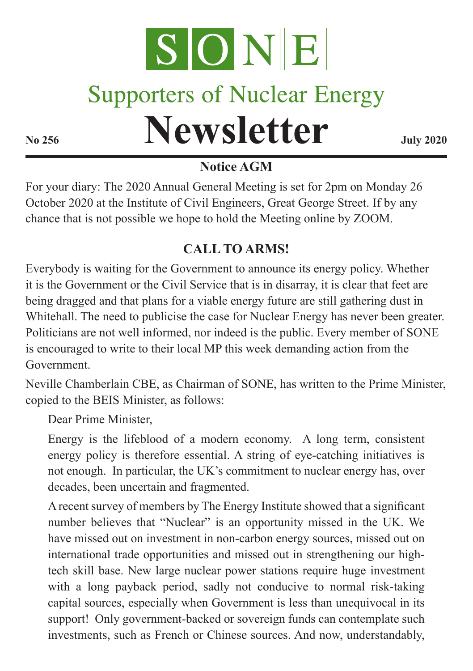

# **Supporters of Nuclear Energy**

# **Newsletter July 2020**

#### **Notice AGM**

For your diary: The 2020 Annual General Meeting is set for 2pm on Monday 26 October 2020 at the Institute of Civil Engineers, Great George Street. If by any chance that is not possible we hope to hold the Meeting online by ZOOM.

## **CALL TO ARMS!**

Everybody is waiting for the Government to announce its energy policy. Whether it is the Government or the Civil Service that is in disarray, it is clear that feet are being dragged and that plans for a viable energy future are still gathering dust in Whitehall. The need to publicise the case for Nuclear Energy has never been greater. Politicians are not well informed, nor indeed is the public. Every member of SONE is encouraged to write to their local MP this week demanding action from the Government.

Neville Chamberlain CBE, as Chairman of SONE, has written to the Prime Minister, copied to the BEIS Minister, as follows:

Dear Prime Minister,

Energy is the lifeblood of a modern economy. A long term, consistent energy policy is therefore essential. A string of eye-catching initiatives is not enough. In particular, the UK's commitment to nuclear energy has, over decades, been uncertain and fragmented.

A recent survey of members by The Energy Institute showed that a significant number believes that "Nuclear" is an opportunity missed in the UK. We have missed out on investment in non-carbon energy sources, missed out on international trade opportunities and missed out in strengthening our hightech skill base. New large nuclear power stations require huge investment with a long payback period, sadly not conducive to normal risk-taking capital sources, especially when Government is less than unequivocal in its support! Only government-backed or sovereign funds can contemplate such investments, such as French or Chinese sources. And now, understandably,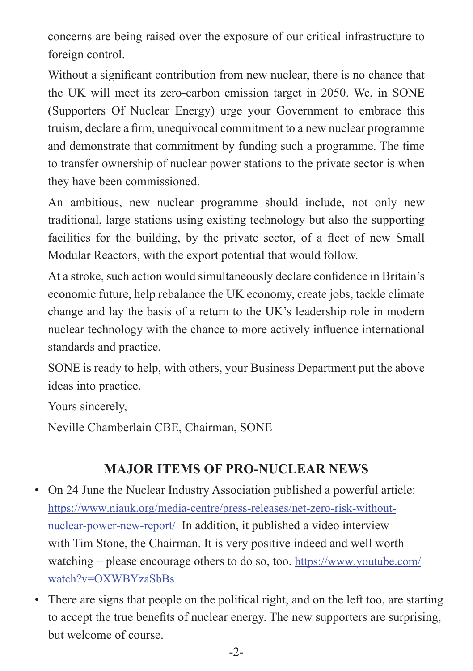concerns are being raised over the exposure of our critical infrastructure to foreign control.

Without a significant contribution from new nuclear, there is no chance that the UK will meet its zero-carbon emission target in 2050. We, in SONE (Supporters Of Nuclear Energy) urge your Government to embrace this truism, declare a firm, unequivocal commitment to a new nuclear programme and demonstrate that commitment by funding such a programme. The time to transfer ownership of nuclear power stations to the private sector is when they have been commissioned.

An ambitious, new nuclear programme should include, not only new traditional, large stations using existing technology but also the supporting facilities for the building, by the private sector, of a fleet of new Small Modular Reactors, with the export potential that would follow.

At a stroke, such action would simultaneously declare confidence in Britain's economic future, help rebalance the UK economy, create jobs, tackle climate change and lay the basis of a return to the UK's leadership role in modern nuclear technology with the chance to more actively influence international standards and practice.

SONE is ready to help, with others, your Business Department put the above ideas into practice.

Yours sincerely,

Neville Chamberlain CBE, Chairman, SONE

#### **MAJOR ITEMS OF PRO-NUCLEAR NEWS**

- On 24 June the Nuclear Industry Association published a powerful article: https://www.niauk.org/media-centre/press-releases/net-zero-risk-withoutnuclear-power-new-report/ In addition, it published a video interview with Tim Stone, the Chairman. It is very positive indeed and well worth watching – please encourage others to do so, too. https://www.youtube.com/ watch?v=OXWBYzaSbBs
- There are signs that people on the political right, and on the left too, are starting to accept the true benefits of nuclear energy. The new supporters are surprising, but welcome of course.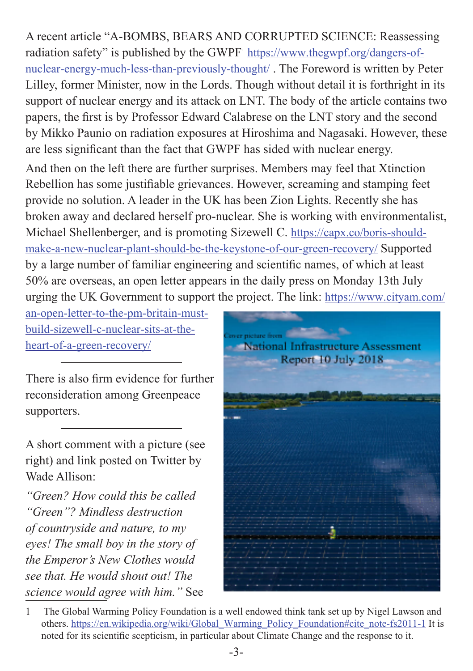A recent article "A-BOMBS, BEARS AND CORRUPTED SCIENCE: Reassessing radiation safety" is published by the GWPF<sup>1</sup> https://www.thegwpf.org/dangers-ofnuclear-energy-much-less-than-previously-thought/ . The Foreword is written by Peter Lilley, former Minister, now in the Lords. Though without detail it is forthright in its support of nuclear energy and its attack on LNT. The body of the article contains two papers, the first is by Professor Edward Calabrese on the LNT story and the second by Mikko Paunio on radiation exposures at Hiroshima and Nagasaki. However, these are less significant than the fact that GWPF has sided with nuclear energy.

And then on the left there are further surprises. Members may feel that Xtinction Rebellion has some justifiable grievances. However, screaming and stamping feet provide no solution. A leader in the UK has been Zion Lights. Recently she has broken away and declared herself pro-nuclear. She is working with environmentalist, Michael Shellenberger, and is promoting Sizewell C. https://capx.co/boris-shouldmake-a-new-nuclear-plant-should-be-the-keystone-of-our-green-recovery/ Supported by a large number of familiar engineering and scientific names, of which at least 50% are overseas, an open letter appears in the daily press on Monday 13th July urging the UK Government to support the project. The link: https://www.cityam.com/

an-open-letter-to-the-pm-britain-mustbuild-sizewell-c-nuclear-sits-at-theheart-of-a-green-recovery/

There is also firm evidence for further reconsideration among Greenpeace supporters.

A short comment with a picture (see right) and link posted on Twitter by Wade Allison:

*"Green? How could this be called "Green"? Mindless destruction of countryside and nature, to my eyes! The small boy in the story of the Emperor's New Clothes would see that. He would shout out! The science would agree with him."* See



<sup>1</sup> The Global Warming Policy Foundation is a well endowed think tank set up by Nigel Lawson and others. https://en.wikipedia.org/wiki/Global\_Warming\_Policy\_Foundation#cite\_note-fs2011-1 It is noted for its scientific scepticism, in particular about Climate Change and the response to it.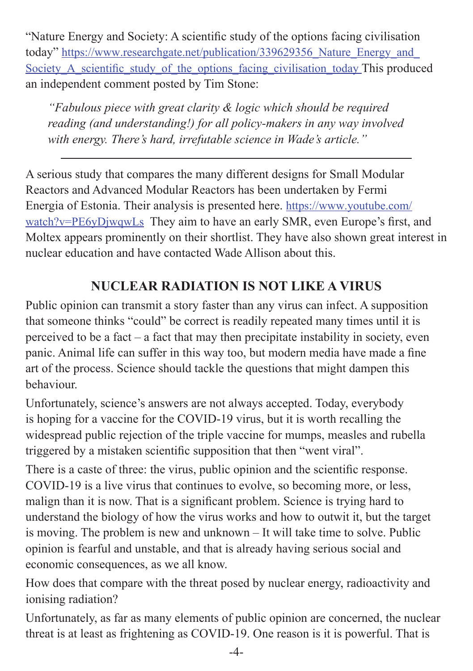"Nature Energy and Society: A scientific study of the options facing civilisation today" https://www.researchgate.net/publication/339629356\_Nature\_Energy\_and\_ Society A\_scientific\_study\_of\_the\_options\_facing\_civilisation\_today This produced an independent comment posted by Tim Stone:

*"Fabulous piece with great clarity & logic which should be required reading (and understanding!) for all policy-makers in any way involved with energy. There's hard, irrefutable science in Wade's article."*

A serious study that compares the many different designs for Small Modular Reactors and Advanced Modular Reactors has been undertaken by Fermi Energia of Estonia. Their analysis is presented here. https://www.youtube.com/ watch?v=PE6yDjwqwLs They aim to have an early SMR, even Europe's first, and Moltex appears prominently on their shortlist. They have also shown great interest in nuclear education and have contacted Wade Allison about this.

## **NUCLEAR RADIATION IS NOT LIKE A VIRUS**

Public opinion can transmit a story faster than any virus can infect. A supposition that someone thinks "could" be correct is readily repeated many times until it is perceived to be a fact – a fact that may then precipitate instability in society, even panic. Animal life can suffer in this way too, but modern media have made a fine art of the process. Science should tackle the questions that might dampen this behaviour.

Unfortunately, science's answers are not always accepted. Today, everybody is hoping for a vaccine for the COVID-19 virus, but it is worth recalling the widespread public rejection of the triple vaccine for mumps, measles and rubella triggered by a mistaken scientific supposition that then "went viral".

There is a caste of three: the virus, public opinion and the scientific response. COVID-19 is a live virus that continues to evolve, so becoming more, or less, malign than it is now. That is a significant problem. Science is trying hard to understand the biology of how the virus works and how to outwit it, but the target is moving. The problem is new and unknown – It will take time to solve. Public opinion is fearful and unstable, and that is already having serious social and economic consequences, as we all know.

How does that compare with the threat posed by nuclear energy, radioactivity and ionising radiation?

Unfortunately, as far as many elements of public opinion are concerned, the nuclear threat is at least as frightening as COVID-19. One reason is it is powerful. That is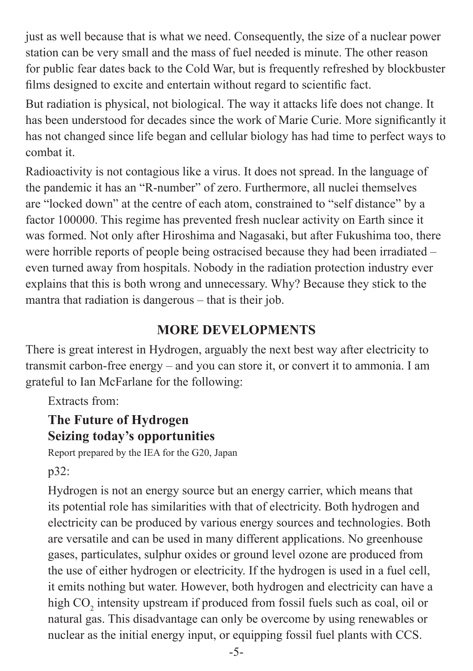just as well because that is what we need. Consequently, the size of a nuclear power station can be very small and the mass of fuel needed is minute. The other reason for public fear dates back to the Cold War, but is frequently refreshed by blockbuster films designed to excite and entertain without regard to scientific fact.

But radiation is physical, not biological. The way it attacks life does not change. It has been understood for decades since the work of Marie Curie. More significantly it has not changed since life began and cellular biology has had time to perfect ways to combat it.

Radioactivity is not contagious like a virus. It does not spread. In the language of the pandemic it has an "R-number" of zero. Furthermore, all nuclei themselves are "locked down" at the centre of each atom, constrained to "self distance" by a factor 100000. This regime has prevented fresh nuclear activity on Earth since it was formed. Not only after Hiroshima and Nagasaki, but after Fukushima too, there were horrible reports of people being ostracised because they had been irradiated – even turned away from hospitals. Nobody in the radiation protection industry ever explains that this is both wrong and unnecessary. Why? Because they stick to the mantra that radiation is dangerous – that is their job.

#### **MORE DEVELOPMENTS**

There is great interest in Hydrogen, arguably the next best way after electricity to transmit carbon-free energy – and you can store it, or convert it to ammonia. I am grateful to Ian McFarlane for the following:

Extracts from:

#### **The Future of Hydrogen Seizing today's opportunities**

Report prepared by the IEA for the G20, Japan

p32:

Hydrogen is not an energy source but an energy carrier, which means that its potential role has similarities with that of electricity. Both hydrogen and electricity can be produced by various energy sources and technologies. Both are versatile and can be used in many different applications. No greenhouse gases, particulates, sulphur oxides or ground level ozone are produced from the use of either hydrogen or electricity. If the hydrogen is used in a fuel cell, it emits nothing but water. However, both hydrogen and electricity can have a high  $CO_2$  intensity upstream if produced from fossil fuels such as coal, oil or natural gas. This disadvantage can only be overcome by using renewables or nuclear as the initial energy input, or equipping fossil fuel plants with CCS.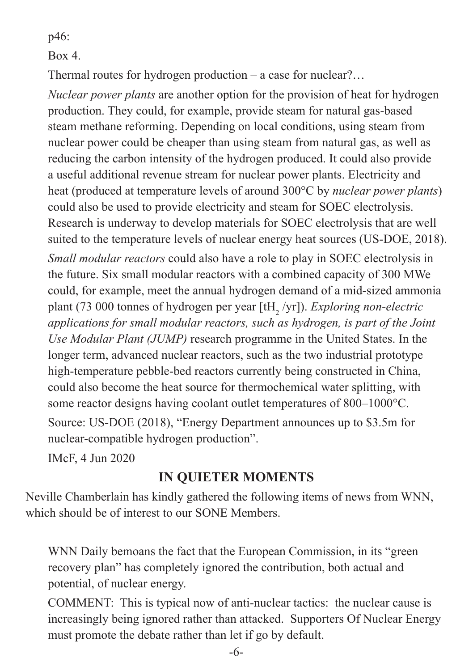p46:

 $Box 4$ 

Thermal routes for hydrogen production – a case for nuclear?…

*Nuclear power plants* are another option for the provision of heat for hydrogen production. They could, for example, provide steam for natural gas-based steam methane reforming. Depending on local conditions, using steam from nuclear power could be cheaper than using steam from natural gas, as well as reducing the carbon intensity of the hydrogen produced. It could also provide a useful additional revenue stream for nuclear power plants. Electricity and heat (produced at temperature levels of around 300°C by *nuclear power plants*) could also be used to provide electricity and steam for SOEC electrolysis. Research is underway to develop materials for SOEC electrolysis that are well suited to the temperature levels of nuclear energy heat sources (US-DOE, 2018). *Small modular reactors* could also have a role to play in SOEC electrolysis in the future. Six small modular reactors with a combined capacity of 300 MWe could, for example, meet the annual hydrogen demand of a mid-sized ammonia plant (73 000 tonnes of hydrogen per year [tH<sub>2</sub> /yr]). *Exploring non-electric applications for small modular reactors, such as hydrogen, is part of the Joint Use Modular Plant (JUMP)* research programme in the United States. In the longer term, advanced nuclear reactors, such as the two industrial prototype high-temperature pebble-bed reactors currently being constructed in China, could also become the heat source for thermochemical water splitting, with some reactor designs having coolant outlet temperatures of 800–1000°C.

Source: US-DOE (2018), "Energy Department announces up to \$3.5m for nuclear-compatible hydrogen production".

IMcF, 4 Jun 2020

#### **IN QUIETER MOMENTS**

Neville Chamberlain has kindly gathered the following items of news from WNN, which should be of interest to our SONE Members.

WNN Daily bemoans the fact that the European Commission, in its "green recovery plan" has completely ignored the contribution, both actual and potential, of nuclear energy.

COMMENT: This is typical now of anti-nuclear tactics: the nuclear cause is increasingly being ignored rather than attacked. Supporters Of Nuclear Energy must promote the debate rather than let if go by default.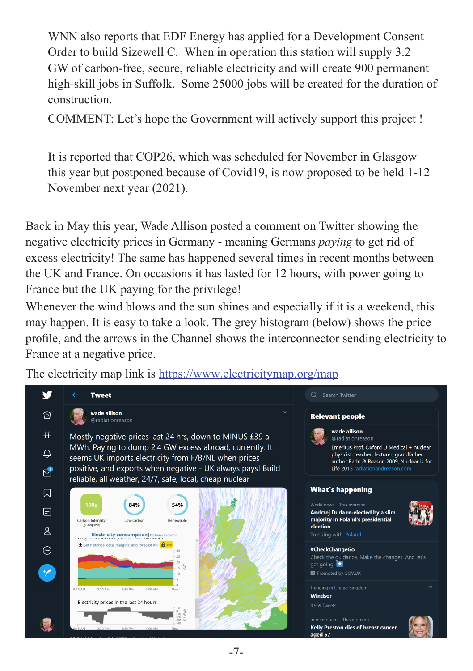WNN also reports that EDF Energy has applied for a Development Consent Order to build Sizewell C. When in operation this station will supply 3.2 GW of carbon-free, secure, reliable electricity and will create 900 permanent high-skill jobs in Suffolk. Some 25000 jobs will be created for the duration of construction.

COMMENT: Let's hope the Government will actively support this project !

It is reported that COP26, which was scheduled for November in Glasgow this year but postponed because of Covid19, is now proposed to be held 1-12 November next year (2021).

Back in May this year, Wade Allison posted a comment on Twitter showing the negative electricity prices in Germany - meaning Germans *paying* to get rid of excess electricity! The same has happened several times in recent months between the UK and France. On occasions it has lasted for 12 hours, with power going to France but the UK paying for the privilege!

Whenever the wind blows and the sun shines and especially if it is a weekend, this may happen. It is easy to take a look. The grey histogram (below) shows the price profile, and the arrows in the Channel shows the interconnector sending electricity to France at a negative price.

The electricity map link is <https://www.electricitymap.org/map>